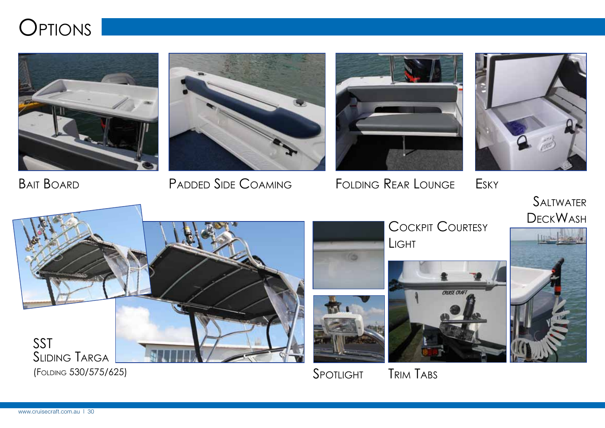











**SALTWATER DECKWASH** 



(FOLDING 530/575/625) SPOTLIGHT

**COCKPIT COURTESY** Light



Trim Tabs